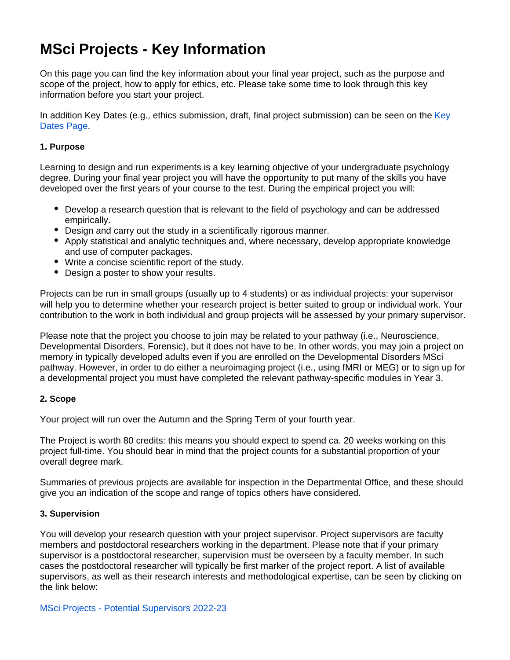# **MSci Projects - Key Information**

On this page you can find the key information about your final year project, such as the purpose and scope of the project, how to apply for ethics, etc. Please take some time to look through this key information before you start your project.

In addition [Key](https://wiki.york.ac.uk/display/PsyStudentDocs/MSci+Projects+-+Key+Dates) Dates (e.g., ethics submission, draft, final project submission) can be seen on the Key [Dates Page](https://wiki.york.ac.uk/display/PsyStudentDocs/MSci+Projects+-+Key+Dates).

#### **1. Purpose**

Learning to design and run experiments is a key learning objective of your undergraduate psychology degree. During your final year project you will have the opportunity to put many of the skills you have developed over the first years of your course to the test. During the empirical project you will:

- Develop a research question that is relevant to the field of psychology and can be addressed empirically.
- Design and carry out the study in a scientifically rigorous manner.
- Apply statistical and analytic techniques and, where necessary, develop appropriate knowledge and use of computer packages.
- Write a concise scientific report of the study.
- Design a poster to show your results.

Projects can be run in small groups (usually up to 4 students) or as individual projects: your supervisor will help you to determine whether your research project is better suited to group or individual work. Your contribution to the work in both individual and group projects will be assessed by your primary supervisor.

Please note that the project you choose to join may be related to your pathway (i.e., Neuroscience, Developmental Disorders, Forensic), but it does not have to be. In other words, you may join a project on memory in typically developed adults even if you are enrolled on the Developmental Disorders MSci pathway. However, in order to do either a neuroimaging project (i.e., using fMRI or MEG) or to sign up for a developmental project you must have completed the relevant pathway-specific modules in Year 3.

#### **2. Scope**

Your project will run over the Autumn and the Spring Term of your fourth year.

The Project is worth 80 credits: this means you should expect to spend ca. 20 weeks working on this project full-time. You should bear in mind that the project counts for a substantial proportion of your overall degree mark.

Summaries of previous projects are available for inspection in the Departmental Office, and these should give you an indication of the scope and range of topics others have considered.

#### **3. Supervision**

You will develop your research question with your project supervisor. Project supervisors are faculty members and postdoctoral researchers working in the department. Please note that if your primary supervisor is a postdoctoral researcher, supervision must be overseen by a faculty member. In such cases the postdoctoral researcher will typically be first marker of the project report. A list of available supervisors, as well as their research interests and methodological expertise, can be seen by clicking on the link below: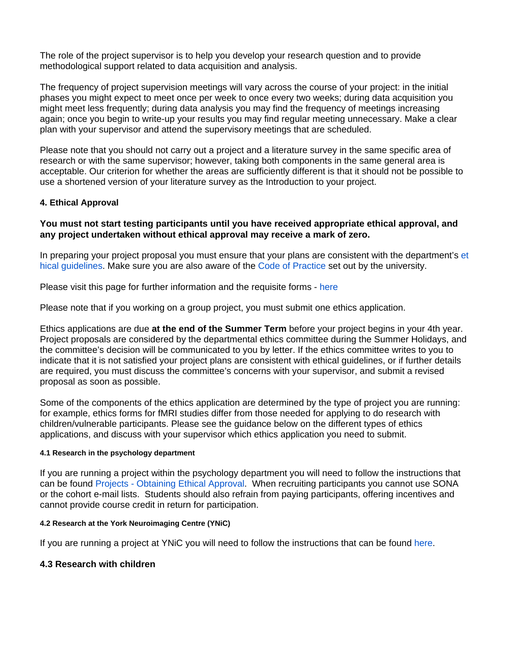The role of the project supervisor is to help you develop your research question and to provide methodological support related to data acquisition and analysis.

The frequency of project supervision meetings will vary across the course of your project: in the initial phases you might expect to meet once per week to once every two weeks; during data acquisition you might meet less frequently; during data analysis you may find the frequency of meetings increasing again; once you begin to write-up your results you may find regular meeting unnecessary. Make a clear plan with your supervisor and attend the supervisory meetings that are scheduled.

Please note that you should not carry out a project and a literature survey in the same specific area of research or with the same supervisor; however, taking both components in the same general area is acceptable. Our criterion for whether the areas are sufficiently different is that it should not be possible to use a shortened version of your literature survey as the Introduction to your project.

#### **4. Ethical Approval**

#### **You must not start testing participants until you have received appropriate ethical approval, and any project undertaken without ethical approval may receive a mark of zero.**

In preparing your project proposal you must ensure that your plans are consistent with the department's [et](https://wiki.york.ac.uk/display/PsyStudentDocs/UG+Handbook+-+Ethics) [hical guidelines](https://wiki.york.ac.uk/display/PsyStudentDocs/UG+Handbook+-+Ethics). Make sure you are also aware of the [Code of Practice](https://www.york.ac.uk/staff/research/governance/policies/ethics-code/) set out by the university.

Please visit this page for further information and the requisite forms - [here](https://wiki.york.ac.uk/display/PsyStudentDocs/UG+Handbook+-+Ethics)

Please note that if you working on a group project, you must submit one ethics application.

Ethics applications are due **at the end of the Summer Term** before your project begins in your 4th year. Project proposals are considered by the departmental ethics committee during the Summer Holidays, and the committee's decision will be communicated to you by letter. If the ethics committee writes to you to indicate that it is not satisfied your project plans are consistent with ethical guidelines, or if further details are required, you must discuss the committee's concerns with your supervisor, and submit a revised proposal as soon as possible.

Some of the components of the ethics application are determined by the type of project you are running: for example, ethics forms for fMRI studies differ from those needed for applying to do research with children/vulnerable participants. Please see the guidance below on the different types of ethics applications, and discuss with your supervisor which ethics application you need to submit.

#### **4.1 Research in the psychology department**

If you are running a project within the psychology department you will need to follow the instructions that can be found [Projects - Obtaining Ethical Approval.](https://wiki.york.ac.uk/display/PsySharedDocs/Projects+-+Obtaining+Ethical+Approval) When recruiting participants you cannot use SONA or the cohort e-mail lists. Students should also refrain from paying participants, offering incentives and cannot provide course credit in return for participation.

#### **4.2 Research at the York Neuroimaging Centre (YNiC)**

If you are running a project at YNiC you will need to follow the instructions that can be found [here.](https://www.ynic.york.ac.uk/forms)

#### **4.3 Research with children**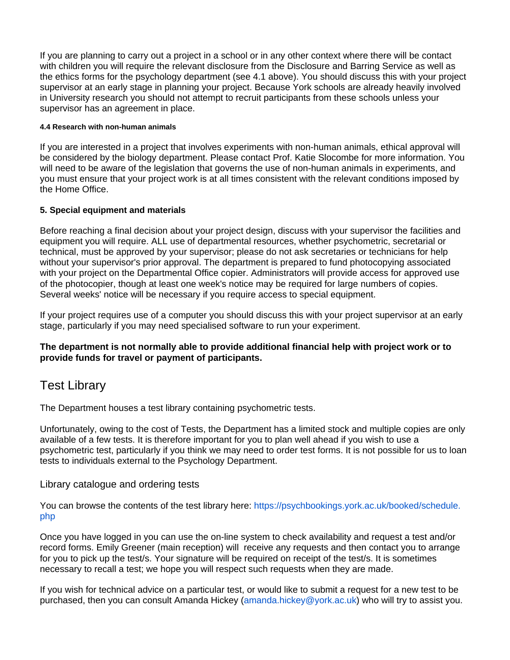If you are planning to carry out a project in a school or in any other context where there will be contact with children you will require the relevant disclosure from the Disclosure and Barring Service as well as the ethics forms for the psychology department (see 4.1 above). You should discuss this with your project supervisor at an early stage in planning your project. Because York schools are already heavily involved in University research you should not attempt to recruit participants from these schools unless your supervisor has an agreement in place.

#### **4.4 Research with non-human animals**

If you are interested in a project that involves experiments with non-human animals, ethical approval will be considered by the biology department. Please contact Prof. Katie Slocombe for more information. You will need to be aware of the legislation that governs the use of non-human animals in experiments, and you must ensure that your project work is at all times consistent with the relevant conditions imposed by the Home Office.

#### **5. Special equipment and materials**

Before reaching a final decision about your project design, discuss with your supervisor the facilities and equipment you will require. ALL use of departmental resources, whether psychometric, secretarial or technical, must be approved by your supervisor; please do not ask secretaries or technicians for help without your supervisor's prior approval. The department is prepared to fund photocopying associated with your project on the Departmental Office copier. Administrators will provide access for approved use of the photocopier, though at least one week's notice may be required for large numbers of copies. Several weeks' notice will be necessary if you require access to special equipment.

If your project requires use of a computer you should discuss this with your project supervisor at an early stage, particularly if you may need specialised software to run your experiment.

#### **The department is not normally able to provide additional financial help with project work or to provide funds for travel or payment of participants.**

# Test Library

The Department houses a test library containing psychometric tests.

Unfortunately, owing to the cost of Tests, the Department has a limited stock and multiple copies are only available of a few tests. It is therefore important for you to plan well ahead if you wish to use a psychometric test, particularly if you think we may need to order test forms. It is not possible for us to loan tests to individuals external to the Psychology Department.

Library catalogue and ordering tests

You can browse the contents of the test library here: [https://psychbookings.york.ac.uk/booked/schedule.](https://psychbookings.york.ac.uk/booked/schedule.php) [php](https://psychbookings.york.ac.uk/booked/schedule.php)

Once you have logged in you can use the on-line system to check availability and request a test and/or record forms. Emily Greener (main reception) will receive any requests and then contact you to arrange for you to pick up the test/s. Your signature will be required on receipt of the test/s. It is sometimes necessary to recall a test; we hope you will respect such requests when they are made.

If you wish for technical advice on a particular test, or would like to submit a request for a new test to be purchased, then you can consult Amanda Hickey ([amanda.hickey@york.ac.uk](mailto:amanda.hickey@york.ac.uk)) who will try to assist you.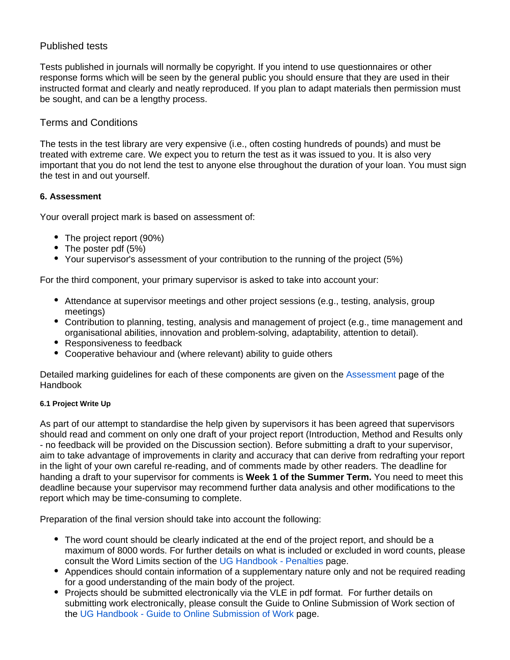# Published tests

Tests published in journals will normally be copyright. If you intend to use questionnaires or other response forms which will be seen by the general public you should ensure that they are used in their instructed format and clearly and neatly reproduced. If you plan to adapt materials then permission must be sought, and can be a lengthy process.

# Terms and Conditions

The tests in the test library are very expensive (i.e., often costing hundreds of pounds) and must be treated with extreme care. We expect you to return the test as it was issued to you. It is also very important that you do not lend the test to anyone else throughout the duration of your loan. You must sign the test in and out yourself.

## **6. Assessment**

Your overall project mark is based on assessment of:

- The project report (90%)
- The poster pdf (5%)
- Your supervisor's assessment of your contribution to the running of the project (5%)

For the third component, your primary supervisor is asked to take into account your:

- Attendance at supervisor meetings and other project sessions (e.g., testing, analysis, group meetings)
- Contribution to planning, testing, analysis and management of project (e.g., time management and organisational abilities, innovation and problem-solving, adaptability, attention to detail).
- Responsiveness to feedback
- Cooperative behaviour and (where relevant) ability to guide others

Detailed marking guidelines for each of these components are given on the [Assessment](https://wiki.york.ac.uk/pages/viewpage.action?pageId=36505052) page of the Handbook

#### **6.1 Project Write Up**

As part of our attempt to standardise the help given by supervisors it has been agreed that supervisors should read and comment on only one draft of your project report (Introduction, Method and Results only - no feedback will be provided on the Discussion section). Before submitting a draft to your supervisor, aim to take advantage of improvements in clarity and accuracy that can derive from redrafting your report in the light of your own careful re-reading, and of comments made by other readers. The deadline for handing a draft to your supervisor for comments is **Week 1 of the Summer Term.** You need to meet this deadline because your supervisor may recommend further data analysis and other modifications to the report which may be time-consuming to complete.

Preparation of the final version should take into account the following:

- The word count should be clearly indicated at the end of the project report, and should be a maximum of 8000 words. For further details on what is included or excluded in word counts, please consult the Word Limits section of the [UG Handbook - Penalties](https://wiki.york.ac.uk/display/PsyStudentDocs/UG+Handbook+-+Penalties) page.
- Appendices should contain information of a supplementary nature only and not be required reading for a good understanding of the main body of the project.
- Projects should be submitted electronically via the VLE in pdf format. For further details on submitting work electronically, please consult the Guide to Online Submission of Work section of the [UG Handbook - Guide to Online Submission of Work](https://wiki.york.ac.uk/display/PsyStudentDocs/UG+Handbook+-+Guide+to+Online+Submission+of+Work) page.